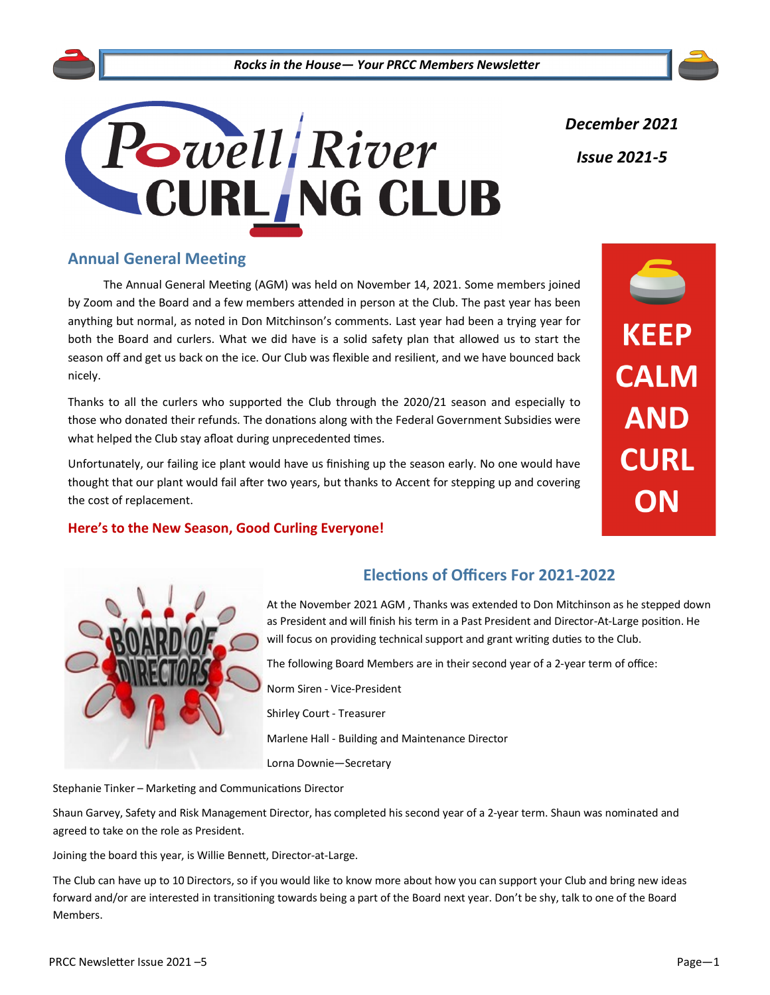

*December 2021 Issue 2021-5*

# **Annual General Meeting**

The Annual General Meeting (AGM) was held on November 14, 2021. Some members joined by Zoom and the Board and a few members attended in person at the Club. The past year has been anything but normal, as noted in Don Mitchinson's comments. Last year had been a trying year for both the Board and curlers. What we did have is a solid safety plan that allowed us to start the season off and get us back on the ice. Our Club was flexible and resilient, and we have bounced back nicely.

Thanks to all the curlers who supported the Club through the 2020/21 season and especially to those who donated their refunds. The donations along with the Federal Government Subsidies were what helped the Club stay afloat during unprecedented times.

Unfortunately, our failing ice plant would have us finishing up the season early. No one would have thought that our plant would fail after two years, but thanks to Accent for stepping up and covering the cost of replacement.

# **Here's to the New Season, Good Curling Everyone!**

# **KEEP CALM AND CURL** ON



# **Elections of Officers For 2021-2022**

At the November 2021 AGM , Thanks was extended to Don Mitchinson as he stepped down as President and will finish his term in a Past President and Director-At-Large position. He will focus on providing technical support and grant writing duties to the Club.

The following Board Members are in their second year of a 2-year term of office:

Norm Siren - Vice-President

Shirley Court - Treasurer

Marlene Hall - Building and Maintenance Director

Lorna Downie—Secretary

Stephanie Tinker – Marketing and Communications Director

Shaun Garvey, Safety and Risk Management Director, has completed his second year of a 2-year term. Shaun was nominated and agreed to take on the role as President.

Joining the board this year, is Willie Bennett, Director-at-Large.

The Club can have up to 10 Directors, so if you would like to know more about how you can support your Club and bring new ideas forward and/or are interested in transitioning towards being a part of the Board next year. Don't be shy, talk to one of the Board Members.